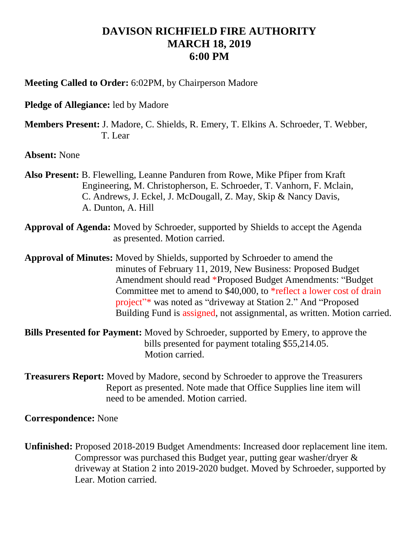## **DAVISON RICHFIELD FIRE AUTHORITY MARCH 18, 2019 6:00 PM**

**Meeting Called to Order:** 6:02PM, by Chairperson Madore

**Pledge of Allegiance:** led by Madore

**Members Present:** J. Madore, C. Shields, R. Emery, T. Elkins A. Schroeder, T. Webber, T. Lear

**Absent:** None

- **Also Present:** B. Flewelling, Leanne Panduren from Rowe, Mike Pfiper from Kraft Engineering, M. Christopherson, E. Schroeder, T. Vanhorn, F. Mclain, C. Andrews, J. Eckel, J. McDougall, Z. May, Skip & Nancy Davis, A. Dunton, A. Hill
- **Approval of Agenda:** Moved by Schroeder, supported by Shields to accept the Agenda as presented. Motion carried.

**Approval of Minutes:** Moved by Shields, supported by Schroeder to amend the minutes of February 11, 2019, New Business: Proposed Budget Amendment should read \*Proposed Budget Amendments: "Budget Committee met to amend to \$40,000, to \*reflect a lower cost of drain project"\* was noted as "driveway at Station 2." And "Proposed Building Fund is assigned, not assignmental, as written. Motion carried.

**Bills Presented for Payment:** Moved by Schroeder, supported by Emery, to approve the bills presented for payment totaling \$55,214.05. Motion carried.

**Treasurers Report:** Moved by Madore, second by Schroeder to approve the Treasurers Report as presented. Note made that Office Supplies line item will need to be amended. Motion carried.

**Correspondence:** None

**Unfinished:** Proposed 2018-2019 Budget Amendments: Increased door replacement line item. Compressor was purchased this Budget year, putting gear washer/dryer & driveway at Station 2 into 2019-2020 budget. Moved by Schroeder, supported by Lear. Motion carried.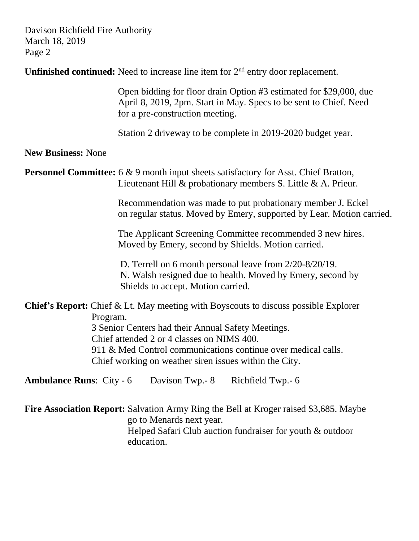Davison Richfield Fire Authority March 18, 2019 Page 2

**Unfinished continued:** Need to increase line item for  $2<sup>nd</sup>$  entry door replacement.

 Open bidding for floor drain Option #3 estimated for \$29,000, due April 8, 2019, 2pm. Start in May. Specs to be sent to Chief. Need for a pre-construction meeting.

Station 2 driveway to be complete in 2019-2020 budget year.

## **New Business:** None

**Personnel Committee:** 6 & 9 month input sheets satisfactory for Asst. Chief Bratton, Lieutenant Hill & probationary members S. Little & A. Prieur.

> Recommendation was made to put probationary member J. Eckel on regular status. Moved by Emery, supported by Lear. Motion carried.

 The Applicant Screening Committee recommended 3 new hires. Moved by Emery, second by Shields. Motion carried.

 D. Terrell on 6 month personal leave from 2/20-8/20/19. N. Walsh resigned due to health. Moved by Emery, second by Shields to accept. Motion carried.

**Chief's Report:** Chief & Lt. May meeting with Boyscouts to discuss possible Explorer Program.

 3 Senior Centers had their Annual Safety Meetings. Chief attended 2 or 4 classes on NIMS 400. 911 & Med Control communications continue over medical calls. Chief working on weather siren issues within the City.

**Ambulance Runs:** City - 6 Davison Twp.- 8 Richfield Twp.- 6

**Fire Association Report:** Salvation Army Ring the Bell at Kroger raised \$3,685. Maybe go to Menards next year. Helped Safari Club auction fundraiser for youth & outdoor education.